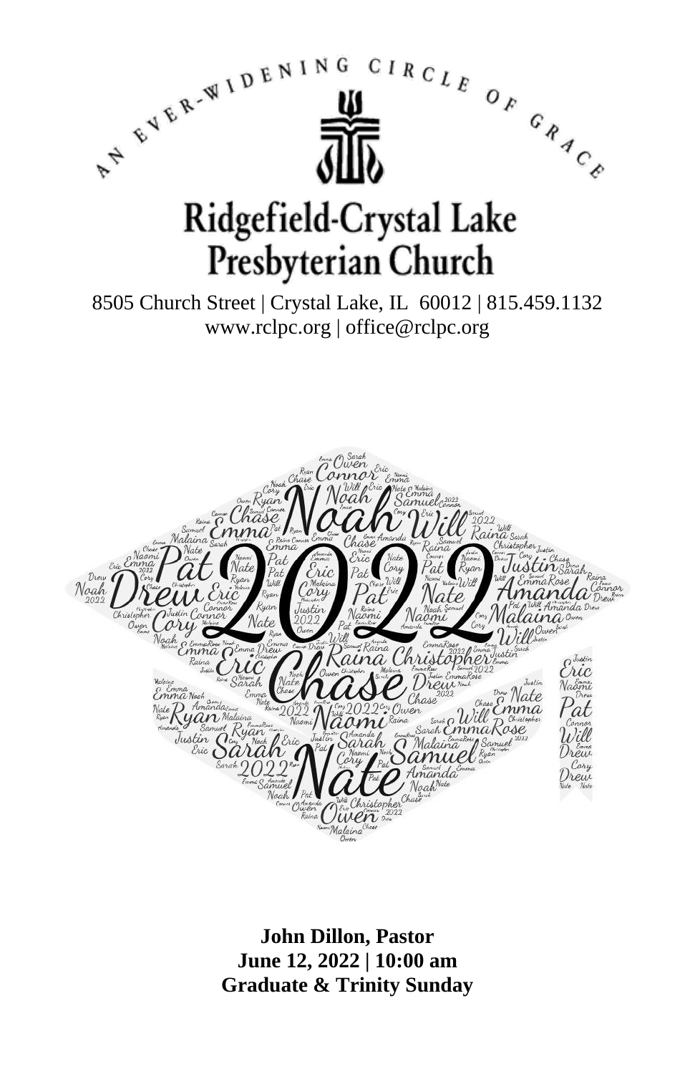

**John Dillon, Pastor June 12, 2022 | 10:00 am Graduate & Trinity Sunday**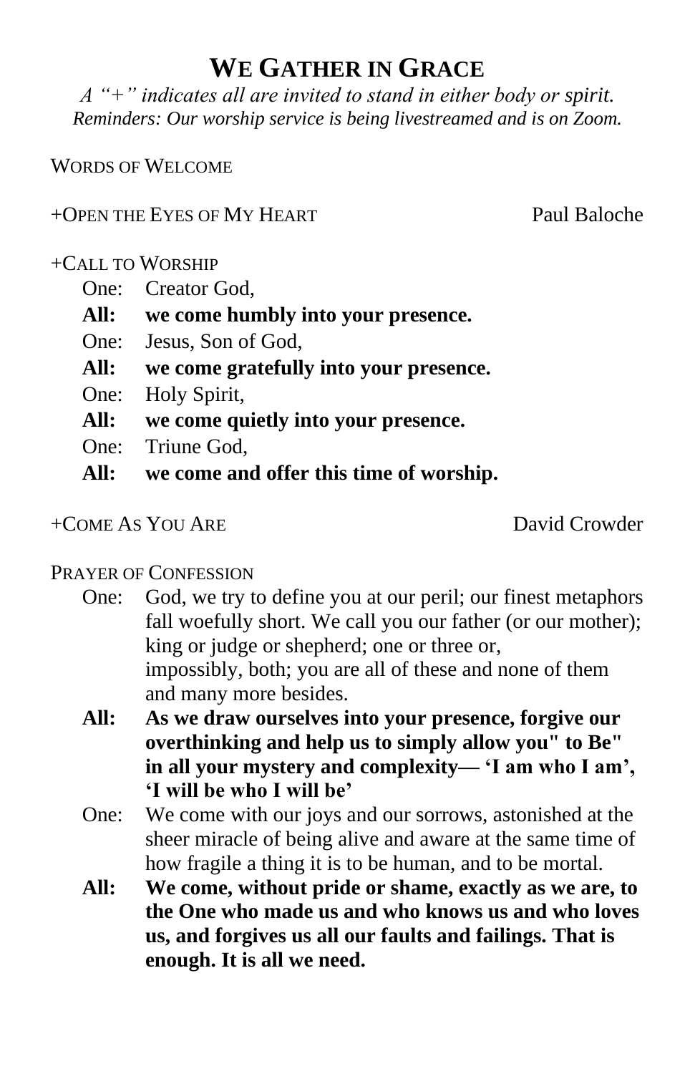## **WE GATHER IN GRACE**

*A "+" indicates all are invited to stand in either body or spirit. Reminders: Our worship service is being livestreamed and is on Zoom.*

WORDS OF WELCOME

### +OPEN THE EYES OF MY HEART Paul Baloche

### +CALL TO WORSHIP

- One: Creator God,
- **All: we come humbly into your presence.**
- One: Jesus, Son of God,
- **All: we come gratefully into your presence.**
- One: Holy Spirit,
- **All: we come quietly into your presence.**
- One: Triune God,
- **All: we come and offer this time of worship.**

### +COME AS YOU ARE David Crowder

### PRAYER OF CONFESSION

- One: God, we try to define you at our peril; our finest metaphors fall woefully short. We call you our father (or our mother); king or judge or shepherd; one or three or, impossibly, both; you are all of these and none of them and many more besides.
- **All: As we draw ourselves into your presence, forgive our overthinking and help us to simply allow you" to Be" in all your mystery and complexity— 'I am who I am', 'I will be who I will be'**
- One: We come with our joys and our sorrows, astonished at the sheer miracle of being alive and aware at the same time of how fragile a thing it is to be human, and to be mortal.
- **All: We come, without pride or shame, exactly as we are, to the One who made us and who knows us and who loves us, and forgives us all our faults and failings. That is enough. It is all we need.**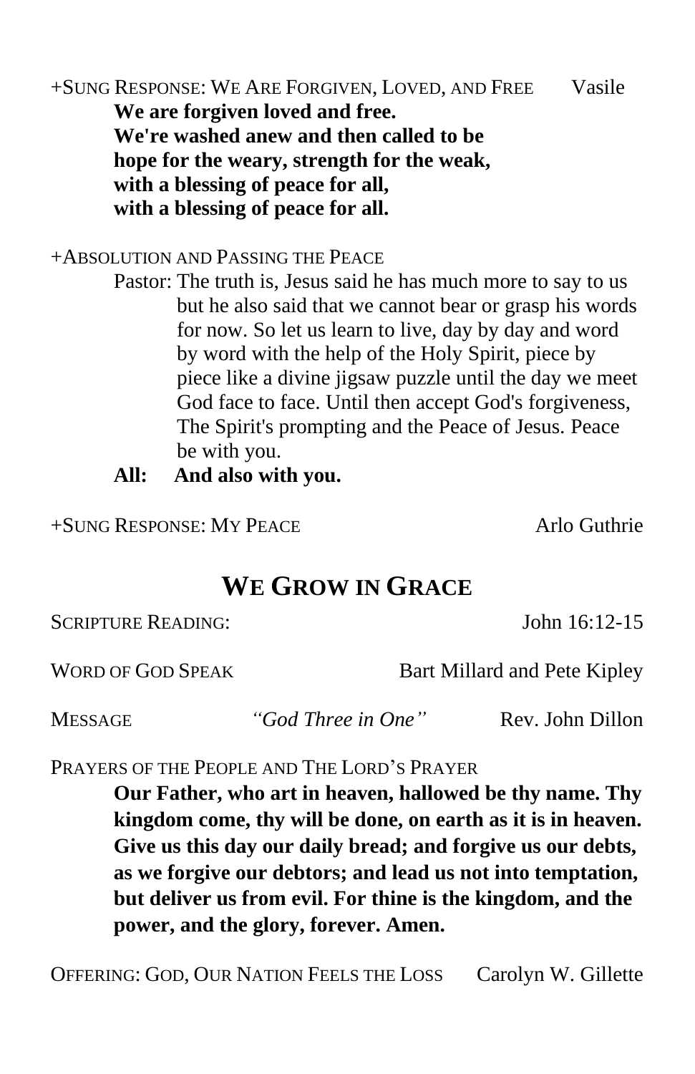+SUNG RESPONSE: WE ARE FORGIVEN, LOVED, AND FREE Vasile **We are forgiven loved and free. We're washed anew and then called to be hope for the weary, strength for the weak, with a blessing of peace for all, with a blessing of peace for all.**

+ABSOLUTION AND PASSING THE PEACE

Pastor: The truth is, Jesus said he has much more to say to us but he also said that we cannot bear or grasp his words for now. So let us learn to live, day by day and word by word with the help of the Holy Spirit, piece by piece like a divine jigsaw puzzle until the day we meet God face to face. Until then accept God's forgiveness, The Spirit's prompting and the Peace of Jesus. Peace be with you.

**All: And also with you.**

+SUNG RESPONSE: MY PEACE Arlo Guthrie

## **WE GROW IN GRACE**

SCRIPTURE READING: John 16:12-15

WORD OF GOD SPEAK Bart Millard and Pete Kipley

MESSAGE *"God Three in One"* Rev. John Dillon

PRAYERS OF THE PEOPLE AND THE LORD'S PRAYER

**Our Father, who art in heaven, hallowed be thy name. Thy kingdom come, thy will be done, on earth as it is in heaven. Give us this day our daily bread; and forgive us our debts, as we forgive our debtors; and lead us not into temptation, but deliver us from evil. For thine is the kingdom, and the power, and the glory, forever. Amen.**

OFFERING: GOD, OUR NATION FEELS THE LOSS Carolyn W. Gillette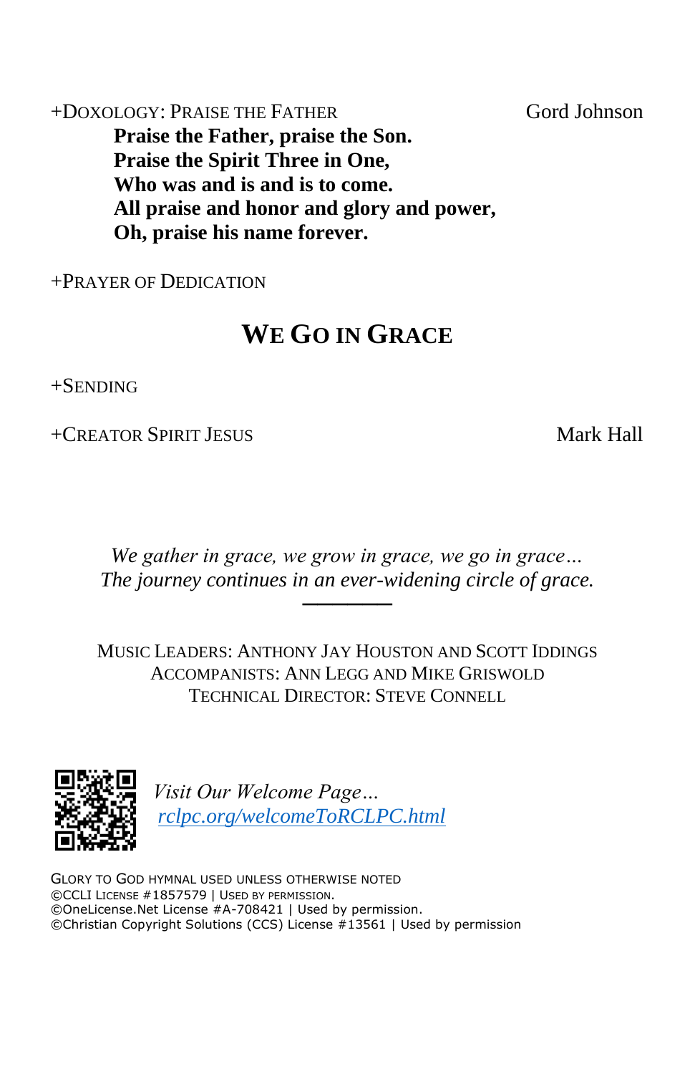+DOXOLOGY: PRAISE THE FATHER Gord Johnson **Praise the Father, praise the Son. Praise the Spirit Three in One, Who was and is and is to come. All praise and honor and glory and power, Oh, praise his name forever.**

+PRAYER OF DEDICATION

# **WE GO IN GRACE**

+SENDING

+CREATOR SPIRIT JESUS Mark Hall

*We gather in grace, we grow in grace, we go in grace… The journey continues in an ever-widening circle of grace.*

──────

MUSIC LEADERS: ANTHONY JAY HOUSTON AND SCOTT IDDINGS ACCOMPANISTS: ANN LEGG AND MIKE GRISWOLD TECHNICAL DIRECTOR: STEVE CONNELL



*Visit Our Welcome Page… [rclpc.org/welcomeToRCLPC.html](http://rclpc.org/welcomeToRCLPC.html)*

GLORY TO GOD HYMNAL USED UNLESS OTHERWISE NOTED ©CCLI LICENSE #1857579 | USED BY PERMISSION. ©OneLicense.Net License #A-708421 | Used by permission. ©Christian Copyright Solutions (CCS) License #13561 | Used by permission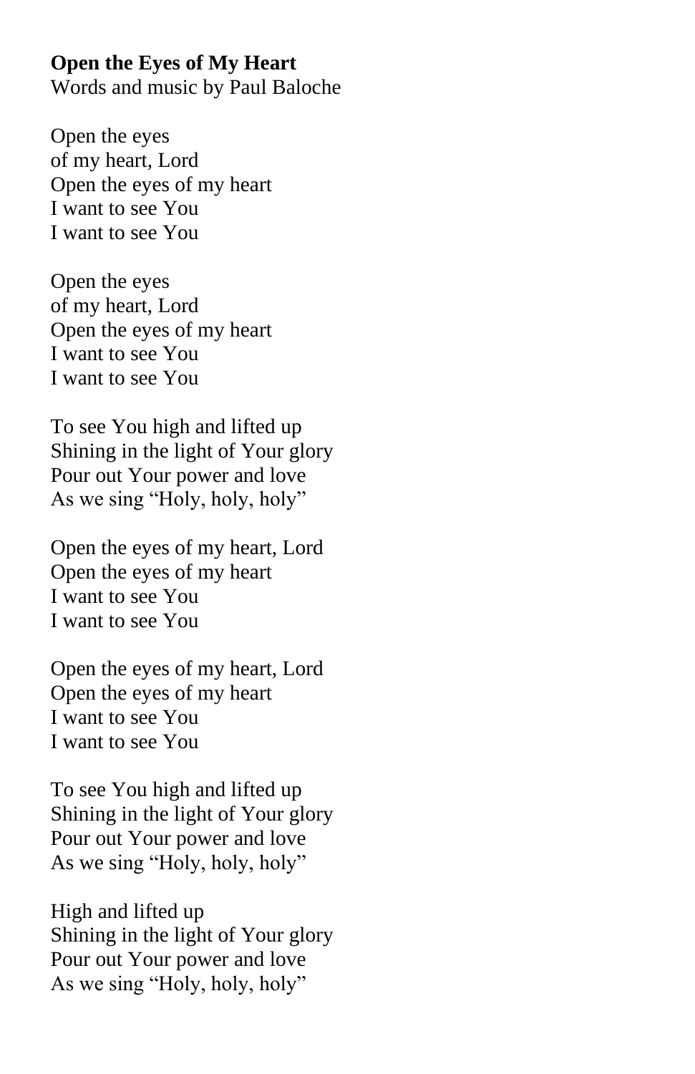#### **Open the Eyes of My Heart**

Words and music by Paul Baloche

Open the eyes of my heart, Lord Open the eyes of my heart I want to see You I want to see You

Open the eyes of my heart, Lord Open the eyes of my heart I want to see You I want to see You

To see You high and lifted up Shining in the light of Your glory Pour out Your power and love As we sing "Holy, holy, holy"

Open the eyes of my heart, Lord Open the eyes of my heart I want to see You I want to see You

Open the eyes of my heart, Lord Open the eyes of my heart I want to see You I want to see You

To see You high and lifted up Shining in the light of Your glory Pour out Your power and love As we sing "Holy, holy, holy"

High and lifted up Shining in the light of Your glory Pour out Your power and love As we sing "Holy, holy, holy"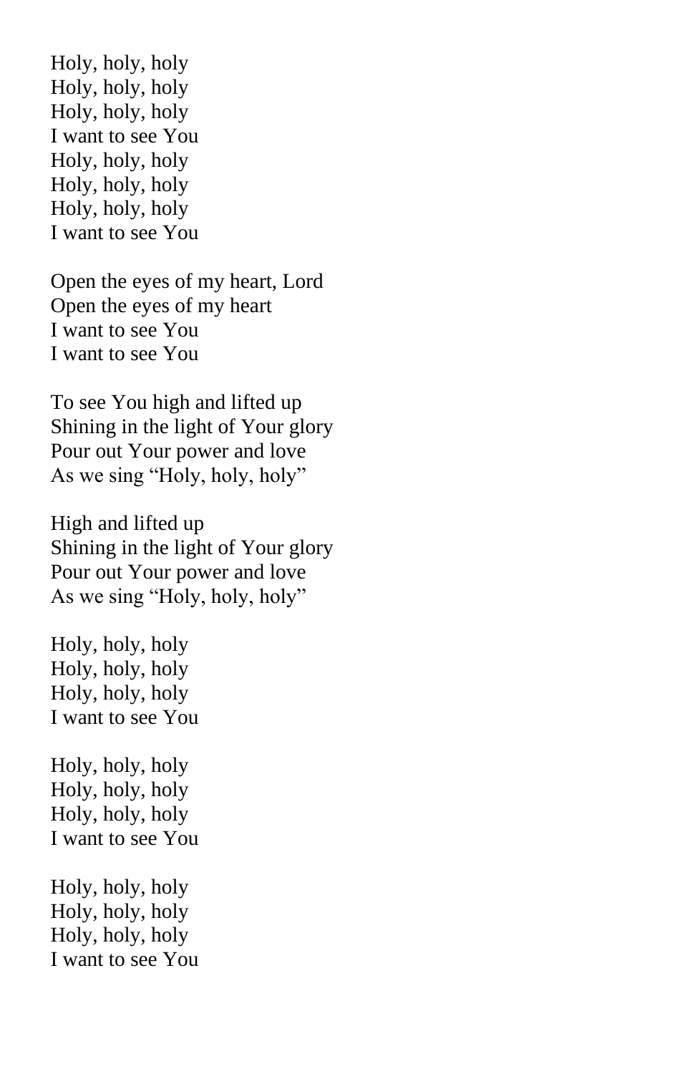Holy, holy, holy Holy, holy, holy Holy, holy, holy I want to see You Holy, holy, holy Holy, holy, holy Holy, holy, holy I want to see You

Open the eyes of my heart, Lord Open the eyes of my heart I want to see You I want to see You

To see You high and lifted up Shining in the light of Your glory Pour out Your power and love As we sing "Holy, holy, holy"

High and lifted up Shining in the light of Your glory Pour out Your power and love As we sing "Holy, holy, holy"

Holy, holy, holy Holy, holy, holy Holy, holy, holy I want to see You

Holy, holy, holy Holy, holy, holy Holy, holy, holy I want to see You

Holy, holy, holy Holy, holy, holy Holy, holy, holy I want to see You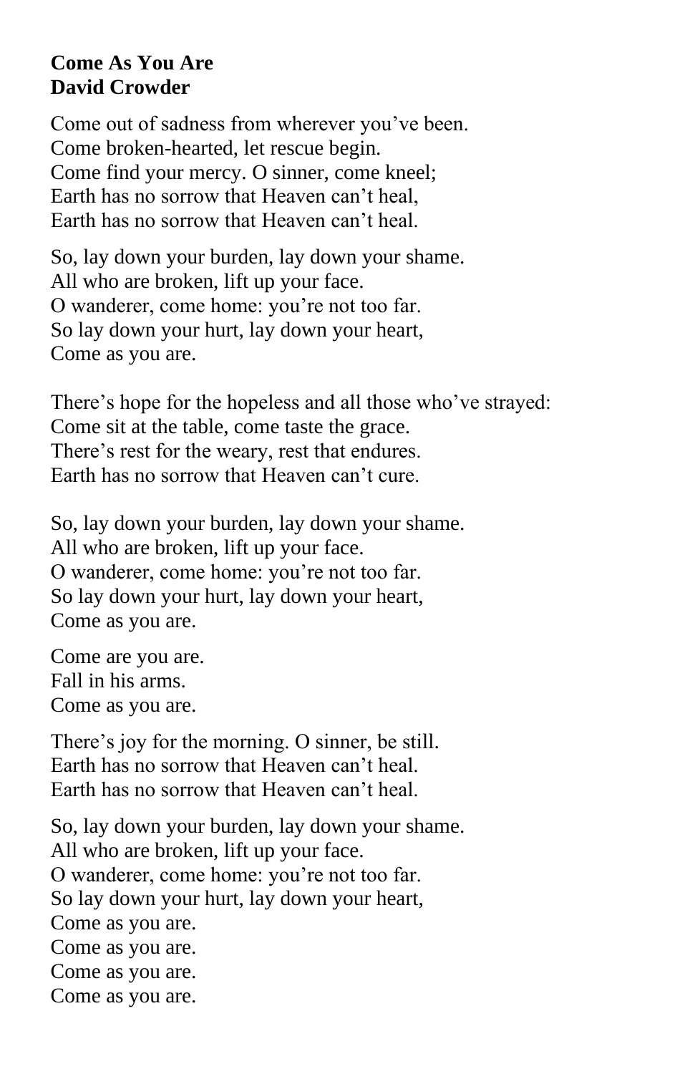### **Come As You Are David Crowder**

Come out of sadness from wherever you've been. Come broken-hearted, let rescue begin. Come find your mercy. O sinner, come kneel; Earth has no sorrow that Heaven can't heal, Earth has no sorrow that Heaven can't heal.

So, lay down your burden, lay down your shame. All who are broken, lift up your face. O wanderer, come home: you're not too far. So lay down your hurt, lay down your heart, Come as you are.

There's hope for the hopeless and all those who've strayed: Come sit at the table, come taste the grace. There's rest for the weary, rest that endures. Earth has no sorrow that Heaven can't cure.

So, lay down your burden, lay down your shame. All who are broken, lift up your face. O wanderer, come home: you're not too far. So lay down your hurt, lay down your heart, Come as you are.

Come are you are. Fall in his arms. Come as you are.

There's joy for the morning. O sinner, be still. Earth has no sorrow that Heaven can't heal. Earth has no sorrow that Heaven can't heal.

So, lay down your burden, lay down your shame. All who are broken, lift up your face. O wanderer, come home: you're not too far. So lay down your hurt, lay down your heart, Come as you are. Come as you are. Come as you are. Come as you are.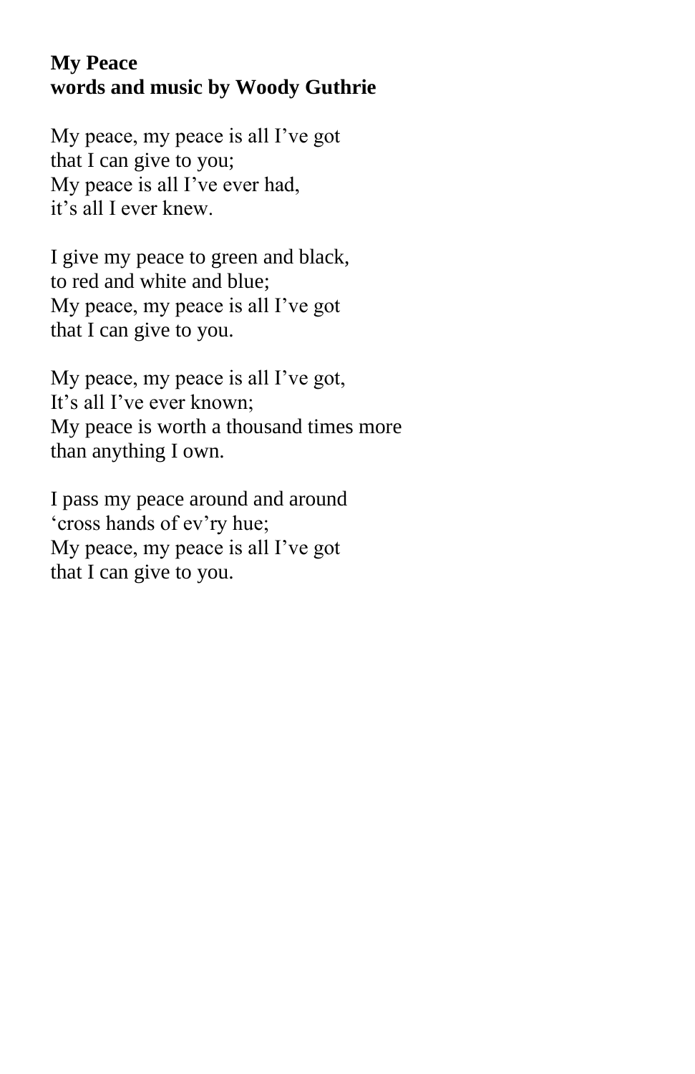### **My Peace words and music by Woody Guthrie**

My peace, my peace is all I've got that I can give to you; My peace is all I've ever had, it's all I ever knew.

I give my peace to green and black, to red and white and blue; My peace, my peace is all I've got that I can give to you.

My peace, my peace is all I've got, It's all I've ever known; My peace is worth a thousand times more than anything I own.

I pass my peace around and around 'cross hands of ev'ry hue; My peace, my peace is all I've got that I can give to you.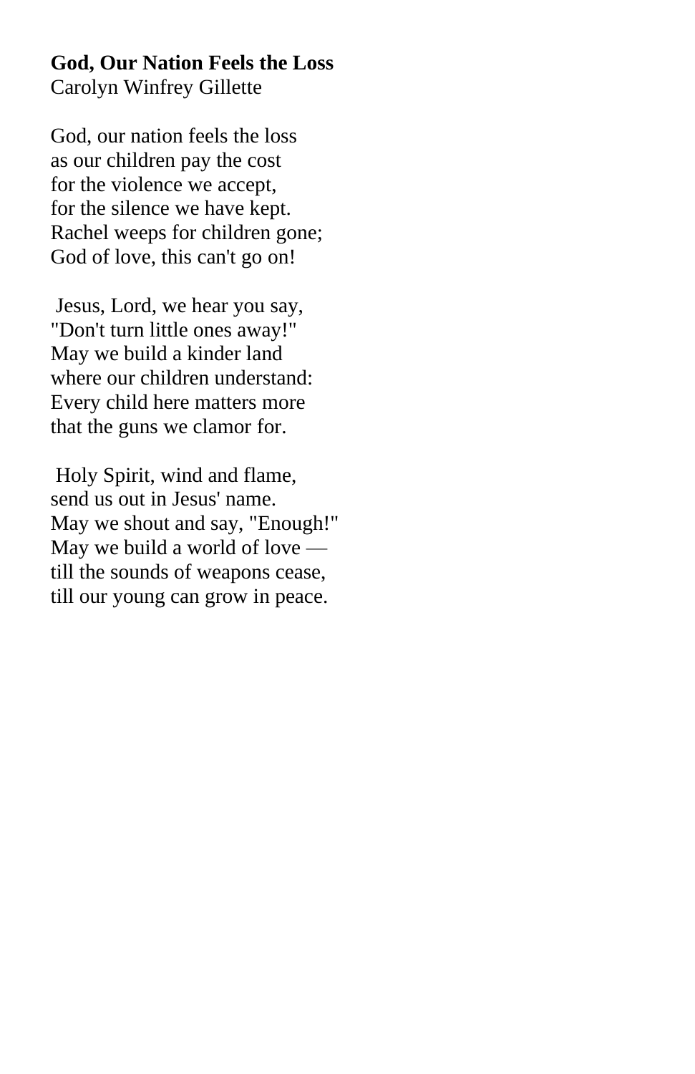### **God, Our Nation Feels the Loss** Carolyn Winfrey Gillette

God, our nation feels the loss as our children pay the cost for the violence we accept, for the silence we have kept. Rachel weeps for children gone; God of love, this can't go on!

Jesus, Lord, we hear you say, "Don't turn little ones away!" May we build a kinder land where our children understand: Every child here matters more that the guns we clamor for.

Holy Spirit, wind and flame, send us out in Jesus' name. May we shout and say, "Enough!" May we build a world of love till the sounds of weapons cease, till our young can grow in peace.